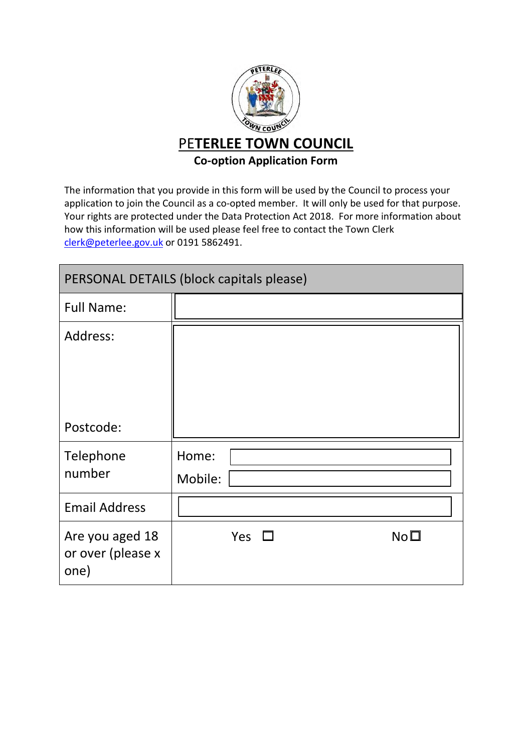

The information that you provide in this form will be used by the Council to process your application to join the Council as a co-opted member. It will only be used for that purpose. Your rights are protected under the Data Protection Act 2018. For more information about how this information will be used please feel free to contact the Town Clerk clerk@peterlee.gov.uk or 0191 5862491.

| PERSONAL DETAILS (block capitals please)     |                  |     |  |  |                 |
|----------------------------------------------|------------------|-----|--|--|-----------------|
| <b>Full Name:</b>                            |                  |     |  |  |                 |
| Address:                                     |                  |     |  |  |                 |
| Postcode:                                    |                  |     |  |  |                 |
| Telephone<br>number                          | Home:<br>Mobile: |     |  |  |                 |
| <b>Email Address</b>                         |                  |     |  |  |                 |
| Are you aged 18<br>or over (please x<br>one) |                  | Yes |  |  | No <sub>1</sub> |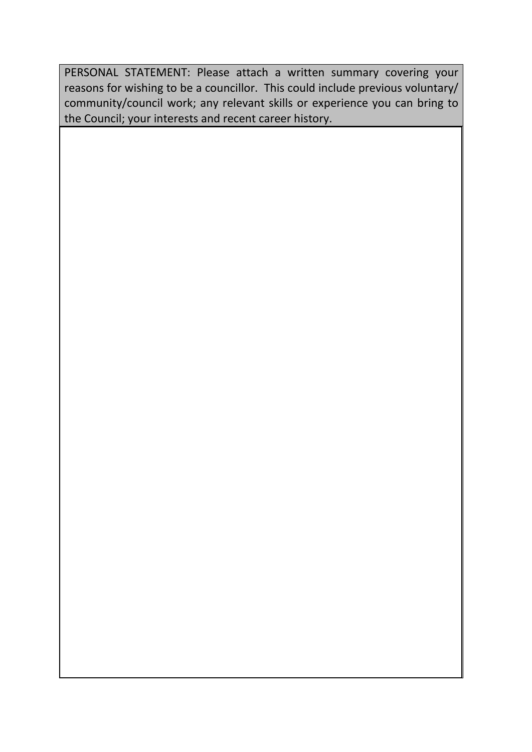PERSONAL STATEMENT: Please attach a written summary covering your reasons for wishing to be a councillor. This could include previous voluntary/ community/council work; any relevant skills or experience you can bring to the Council; your interests and recent career history.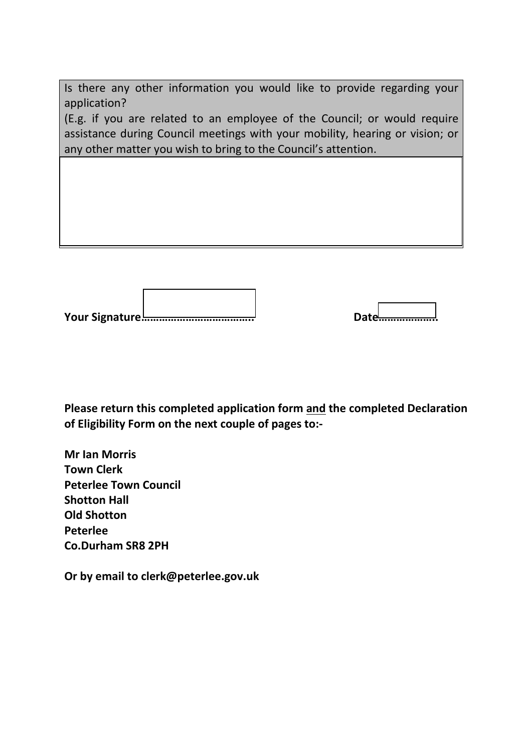Is there any other information you would like to provide regarding your application?

(E.g. if you are related to an employee of the Council; or would require assistance during Council meetings with your mobility, hearing or vision; or any other matter you wish to bring to the Council's attention.

Г

**Your Signature……………………………….. Date………………..** 

**Please return this completed application form and the completed Declaration of Eligibility Form on the next couple of pages to:-** 

**Mr Ian Morris Town Clerk Peterlee Town Council Shotton Hall Old Shotton Peterlee Co.Durham SR8 2PH** 

**Or by email to clerk@peterlee.gov.uk**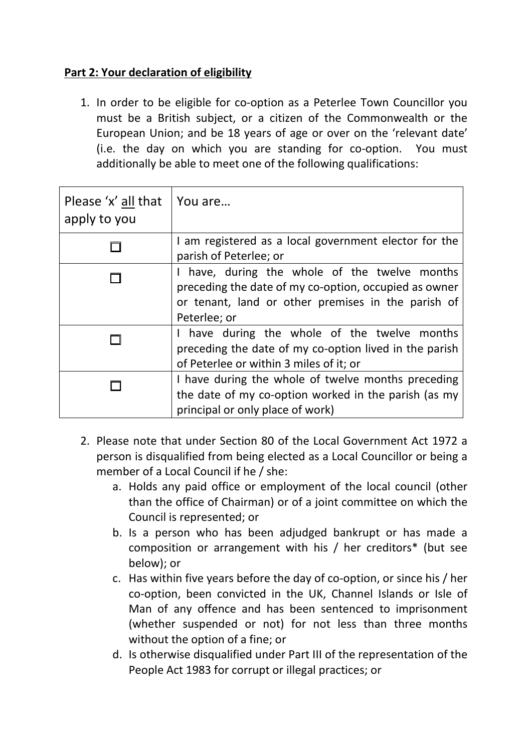## **Part 2: Your declaration of eligibility**

1. In order to be eligible for co-option as a Peterlee Town Councillor you must be a British subject, or a citizen of the Commonwealth or the European Union; and be 18 years of age or over on the 'relevant date' (i.e. the day on which you are standing for co-option. You must additionally be able to meet one of the following qualifications:

| Please 'x' all that<br>apply to you | You are                                                                                                                                                                    |
|-------------------------------------|----------------------------------------------------------------------------------------------------------------------------------------------------------------------------|
|                                     | I am registered as a local government elector for the<br>parish of Peterlee; or                                                                                            |
|                                     | have, during the whole of the twelve months<br>preceding the date of my co-option, occupied as owner<br>or tenant, land or other premises in the parish of<br>Peterlee; or |
|                                     | I have during the whole of the twelve months<br>preceding the date of my co-option lived in the parish<br>of Peterlee or within 3 miles of it; or                          |
|                                     | I have during the whole of twelve months preceding<br>the date of my co-option worked in the parish (as my<br>principal or only place of work)                             |

- 2. Please note that under Section 80 of the Local Government Act 1972 a person is disqualified from being elected as a Local Councillor or being a member of a Local Council if he / she:
	- a. Holds any paid office or employment of the local council (other than the office of Chairman) or of a joint committee on which the Council is represented; or
	- b. Is a person who has been adjudged bankrupt or has made a composition or arrangement with his / her creditors\* (but see below); or
	- c. Has within five years before the day of co-option, or since his / her co-option, been convicted in the UK, Channel Islands or Isle of Man of any offence and has been sentenced to imprisonment (whether suspended or not) for not less than three months without the option of a fine; or
	- d. Is otherwise disqualified under Part III of the representation of the People Act 1983 for corrupt or illegal practices; or